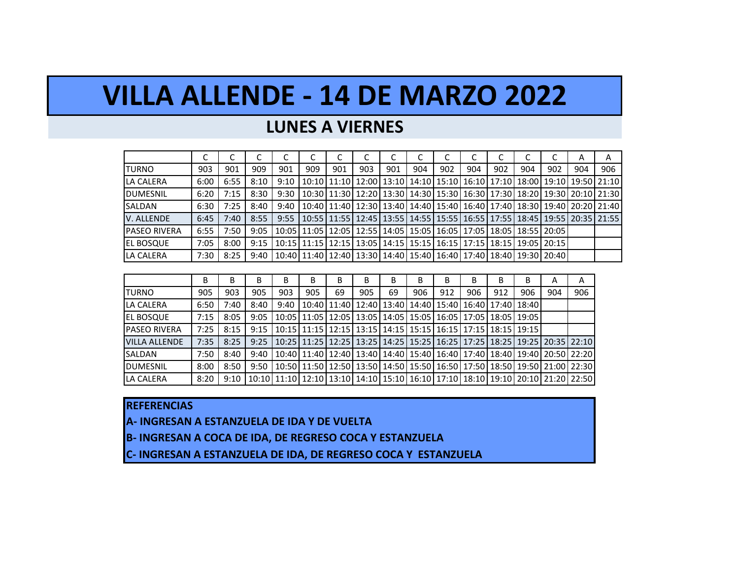# **VILLA ALLENDE - 14 DE MARZO 2022**

### **LUNES A VIERNES**

|                      | ◡    | ◡    | ◡    |      | ◡                                                                                     | ◡   |     |     |     |     |     |     |     |     | А   | Α                                                                                             |
|----------------------|------|------|------|------|---------------------------------------------------------------------------------------|-----|-----|-----|-----|-----|-----|-----|-----|-----|-----|-----------------------------------------------------------------------------------------------|
| <b>ITURNO</b>        | 903  | 901  | 909  | 901  | 909                                                                                   | 901 | 903 | 901 | 904 | 902 | 904 | 902 | 904 | 902 | 904 | 906                                                                                           |
| LA CALERA            | 6:00 | 6:55 | 8:10 | 9:10 |                                                                                       |     |     |     |     |     |     |     |     |     |     | 10:10   11:10   12:00   13:10   14:10   15:10   16:10   17:10   18:00   19:10   19:50   21:10 |
| <b>DUMESNIL</b>      | 6:20 | 7:15 | 8:30 | 9:30 |                                                                                       |     |     |     |     |     |     |     |     |     |     | 10:30   11:30   12:20   13:30   14:30   15:30   16:30   17:30   18:20   19:30   20:10   21:30 |
| SALDAN               | 6:30 | 7:25 | 8:40 | 9:40 |                                                                                       |     |     |     |     |     |     |     |     |     |     | 10:40   11:40   12:30   13:40   14:40   15:40   16:40   17:40   18:30   19:40   20:20   21:40 |
| V. ALLENDE           | 6:45 | 7:40 | 8:55 | 9:55 |                                                                                       |     |     |     |     |     |     |     |     |     |     | 10:55   11:55   12:45   13:55   14:55   15:55   16:55   17:55   18:45   19:55   20:35   21:55 |
| <b>IPASEO RIVERA</b> | 6:55 | 7:50 | 9:05 |      | 10:05   11:05   12:05   12:55   14:05   15:05   16:05   17:05   18:05   18:55   20:05 |     |     |     |     |     |     |     |     |     |     |                                                                                               |
| <b>IEL BOSQUE</b>    | 7:05 | 8:00 | 9:15 |      | 10:15   11:15   12:15   13:05   14:15   15:15   16:15   17:15   18:15   19:05   20:15 |     |     |     |     |     |     |     |     |     |     |                                                                                               |
| LA CALERA            | 7:30 | 8:25 | 9:40 |      | 10:40   12:40   12:40   13:30   14:40   15:40   16:40   17:40   18:40   19:30   20:40 |     |     |     |     |     |     |     |     |     |     |                                                                                               |

|                      | В    | В    | в    | B    | В   | В  | В   | B  | В   | в                                                                             | в   | В   | В   | A   | Α                                                                                                     |
|----------------------|------|------|------|------|-----|----|-----|----|-----|-------------------------------------------------------------------------------|-----|-----|-----|-----|-------------------------------------------------------------------------------------------------------|
| <b>TURNO</b>         | 905  | 903  | 905  | 903  | 905 | 69 | 905 | 69 | 906 | 912                                                                           | 906 | 912 | 906 | 904 | 906                                                                                                   |
| LA CALERA            | 6:50 | 7:40 | 8:40 | 9:40 |     |    |     |    |     | 10:40 11:40 12:40 13:40 14:40 15:40 16:40 17:40 18:40                         |     |     |     |     |                                                                                                       |
| <b>EL BOSQUE</b>     | 7:15 | 8:05 | 9:05 |      |     |    |     |    |     | 10:05   11:05   12:05   13:05   14:05   15:05   16:05   17:05   18:05   19:05 |     |     |     |     |                                                                                                       |
| <b>PASEO RIVERA</b>  | 7:25 | 8:15 | 9:15 |      |     |    |     |    |     | 10:15   11:15   12:15   13:15   14:15   15:15   16:15   17:15   18:15   19:15 |     |     |     |     |                                                                                                       |
| <b>VILLA ALLENDE</b> | 7:35 | 8:25 | 9:25 |      |     |    |     |    |     |                                                                               |     |     |     |     | 10:25   11:25   12:25   13:25   14:25   15:25   16:25   17:25   18:25   19:25   20:35   22:10         |
| SALDAN               | 7:50 | 8:40 | 9:40 |      |     |    |     |    |     |                                                                               |     |     |     |     | 10:40   11:40   12:40   13:40   14:40   15:40   16:40   17:40   18:40   19:40   20:50   22:20         |
| <b>DUMESNIL</b>      | 8:00 | 8:50 | 9:50 |      |     |    |     |    |     |                                                                               |     |     |     |     | 10:50   11:50   12:50   13:50   14:50   15:50   16:50   17:50   18:50   19:50   21:00   22:30         |
| LA CALERA            | 8:20 | 9:10 |      |      |     |    |     |    |     |                                                                               |     |     |     |     | 10:10   11:10   12:10   13:10   14:10   15:10   16:10   17:10   18:10   19:10   20:10   21:20   22:50 |

#### **REFERENCIAS**

**A- INGRESAN A ESTANZUELA DE IDA Y DE VUELTA**

**B- INGRESAN A COCA DE IDA, DE REGRESO COCA Y ESTANZUELA**

**C- INGRESAN A ESTANZUELA DE IDA, DE REGRESO COCA Y ESTANZUELA**